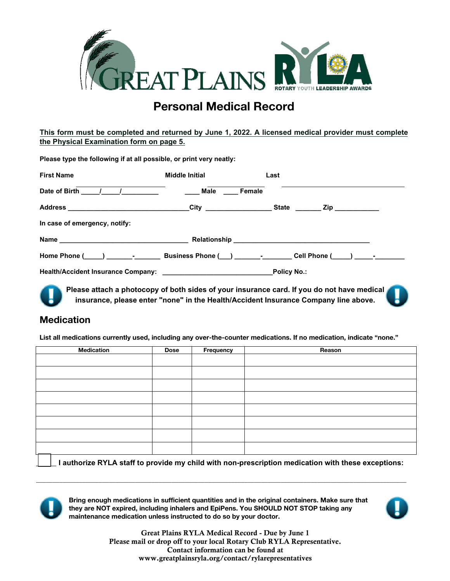# **Personal Medical Record**

**This form must be completed and returned by June 1, 2022. A licensed medical provider must complete Physical Examination form on page 5.**

| Please type the following if at all possible, or print very neatly:                                 |                       |                                                                                                                                                                                   |
|-----------------------------------------------------------------------------------------------------|-----------------------|-----------------------------------------------------------------------------------------------------------------------------------------------------------------------------------|
| <b>First Name</b>                                                                                   | <b>Middle Initial</b> | Last                                                                                                                                                                              |
|                                                                                                     | Male<br>Female        |                                                                                                                                                                                   |
| Address ______________________________City __________________State ________Zip ____________________ |                       |                                                                                                                                                                                   |
| In case of emergency, notify:                                                                       |                       |                                                                                                                                                                                   |
|                                                                                                     |                       |                                                                                                                                                                                   |
|                                                                                                     |                       |                                                                                                                                                                                   |
|                                                                                                     |                       |                                                                                                                                                                                   |
|                                                                                                     |                       | Please attach a photocopy of both sides of your insurance card. If you do not have medical<br>insurance, please enter "none" in the Health/Accident Insurance Company line above. |

## **Medication**

**List all medications currently used, including any over-the-counter medications. If no medication, indicate "none."** 

| Medication | Dose | Frequency | Reason |
|------------|------|-----------|--------|
|            |      |           |        |
|            |      |           |        |
|            |      |           |        |
|            |      |           |        |
|            |      |           |        |
|            |      |           |        |
|            |      |           |        |
|            |      |           |        |
|            |      |           |        |

**\_\_\_\_\_ I authorize RYLA staff to provide my child with non-prescription medication with these exceptions:** 



**Bring enough medications in sufficient quantities and in the original containers. Make sure that they are NOT expired, including inhalers and EpiPens. You SHOULD NOT STOP taking any maintenance medication unless instructed to do so by your doctor.** 

**\_\_\_\_\_\_\_\_\_\_\_\_\_\_\_\_\_\_\_\_\_\_\_\_\_\_\_\_\_\_\_\_\_\_\_\_\_\_\_\_\_\_\_\_\_\_\_\_\_\_\_\_\_\_\_\_\_\_\_\_\_\_\_\_\_\_\_\_\_\_\_\_\_\_\_\_\_\_\_\_\_\_\_\_\_\_\_\_\_\_\_\_\_\_\_\_\_\_\_\_\_\_\_\_\_\_\_\_\_\_\_\_** 



Great Plains RYLA Medical Record - Due by June 1 Please mail or drop off to your local Rotary Club RYLA Representative. **C**ontact information can be found at www.greatplainsryla.org/contact/rylarepresentatives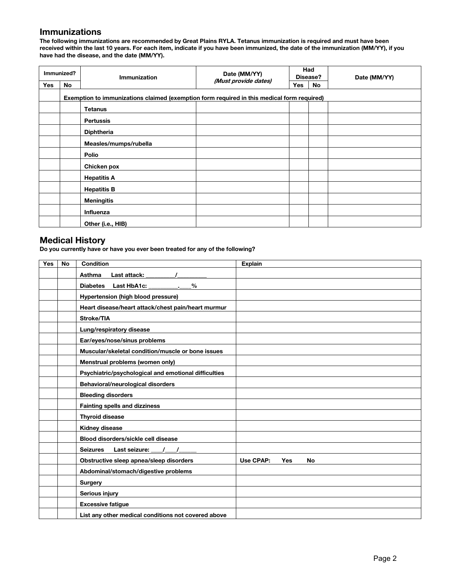#### **Immunizations**

**The following immunizations are recommended by Great Plains RYLA. Tetanus immunization is required and must have been received within the last 10 years. For each item, indicate if you have been immunized, the date of the immunization (MM/YY), if you have had the disease, and the date (MM/YY).** 

| Immunized?                                                                                 |           | <b>Immunization</b>   | Date (MM/YY)         | Had<br>Disease? |     | Date (MM/YY) |  |
|--------------------------------------------------------------------------------------------|-----------|-----------------------|----------------------|-----------------|-----|--------------|--|
| <b>Yes</b>                                                                                 | <b>No</b> |                       | (Must provide dates) | Yes             | No. |              |  |
| Exemption to immunizations claimed (exemption form required in this medical form required) |           |                       |                      |                 |     |              |  |
|                                                                                            |           | <b>Tetanus</b>        |                      |                 |     |              |  |
|                                                                                            |           | <b>Pertussis</b>      |                      |                 |     |              |  |
|                                                                                            |           | <b>Diphtheria</b>     |                      |                 |     |              |  |
|                                                                                            |           | Measles/mumps/rubella |                      |                 |     |              |  |
|                                                                                            |           | Polio                 |                      |                 |     |              |  |
|                                                                                            |           | Chicken pox           |                      |                 |     |              |  |
|                                                                                            |           | <b>Hepatitis A</b>    |                      |                 |     |              |  |
|                                                                                            |           | <b>Hepatitis B</b>    |                      |                 |     |              |  |
|                                                                                            |           | <b>Meningitis</b>     |                      |                 |     |              |  |
|                                                                                            |           | Influenza             |                      |                 |     |              |  |
|                                                                                            |           | Other (i.e., HIB)     |                      |                 |     |              |  |

#### **Medical History**

**Do you currently have or have you ever been treated for any of the following?** 

| <b>Yes</b> | <b>No</b> | <b>Condition</b>                                     | <b>Explain</b>                 |
|------------|-----------|------------------------------------------------------|--------------------------------|
|            |           | <b>Asthma</b><br>Last attack:                        |                                |
|            |           | Diabetes Last HbA1c: 1. %                            |                                |
|            |           | Hypertension (high blood pressure)                   |                                |
|            |           | Heart disease/heart attack/chest pain/heart murmur   |                                |
|            |           | <b>Stroke/TIA</b>                                    |                                |
|            |           | Lung/respiratory disease                             |                                |
|            |           | Ear/eyes/nose/sinus problems                         |                                |
|            |           | Muscular/skeletal condition/muscle or bone issues    |                                |
|            |           | Menstrual problems (women only)                      |                                |
|            |           | Psychiatric/psychological and emotional difficulties |                                |
|            |           | Behavioral/neurological disorders                    |                                |
|            |           | <b>Bleeding disorders</b>                            |                                |
|            |           | <b>Fainting spells and dizziness</b>                 |                                |
|            |           | <b>Thyroid disease</b>                               |                                |
|            |           | Kidney disease                                       |                                |
|            |           | Blood disorders/sickle cell disease                  |                                |
|            |           | Seizures Last seizure: / /                           |                                |
|            |           | Obstructive sleep apnea/sleep disorders              | Use CPAP:<br><b>Yes</b><br>No. |
|            |           | Abdominal/stomach/digestive problems                 |                                |
|            |           | <b>Surgery</b>                                       |                                |
|            |           | Serious injury                                       |                                |
|            |           | <b>Excessive fatigue</b>                             |                                |
|            |           | List any other medical conditions not covered above  |                                |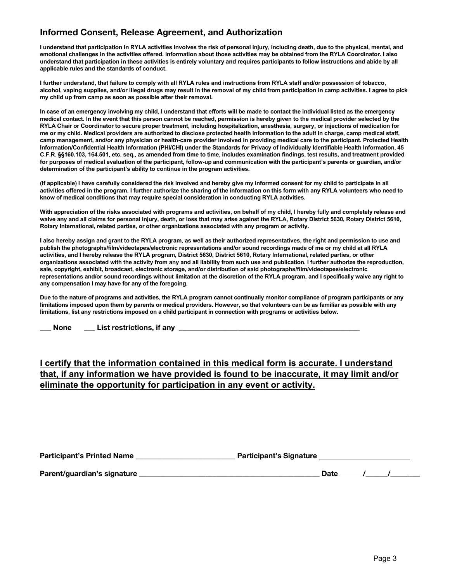## **Informed Consent, Release Agreement, and Authorization**

I understand that participation in RYLA activities involves the risk of personal injury, including death, due to the physical, mental, and emotional challenges in the activities offered. Information about those activities may be obtained from the RYLA Coordinator. I also understand that participation in these activities is entirely voluntary and requires participants to follow instructions and abide by all **applicable rules and the standards of conduct.** 

**I further understand, that failure to comply with all RYLA rules and instructions from RYLA staff and/or possession of tobacco, alcohol, vaping supplies, and/or illegal drugs may result in the removal of my child from participation in camp activities. I agree to pick my child up from camp as soon as possible after their removal.**

In case of an emergency involving my child, I understand that efforts will be made to contact the individual listed as the emergency medical contact. In the event that this person cannot be reached, permission is hereby given to the medical provider selected by the RYLA Chair or Coordinator to secure proper treatment, including hospitalization, anesthesia, surgery, or injections of medication for me or my child. Medical providers are authorized to disclose protected health information to the adult in charge, camp medical staff, **camp management, and/or any physician or health-care provider involved in providing medical care to the participant. Protected Health**  Information/Confidential Health Information (PHI/CHI) under the Standards for Privacy of Individually Identifiable Health Information, 45 C.F.R. §§160.103, 164.501, etc. seq., as amended from time to time, includes examination findings, test results, and treatment provided for purposes of medical evaluation of the participant, follow-up and communication with the participant's parents or guardian, and/or **determination of the participant's ability to continue in the program activities.**

(If applicable) I have carefully considered the risk involved and hereby give my informed consent for my child to participate in all activities offered in the program. I further authorize the sharing of the information on this form with any RYLA volunteers who need to **know of medical conditions that may require special consideration in conducting RYLA activities.** 

With appreciation of the risks associated with programs and activities, on behalf of my child, I hereby fully and completely release and waive any and all claims for personal injury, death, or loss that may arise against the RYLA, Rotary District 5630, Rotary District 5610, **Rotary International, related parties, or other organizations associated with any program or activity.** 

I also hereby assign and grant to the RYLA program, as well as their authorized representatives, the right and permission to use and **publish the photographs/film/videotapes/electronic representations and/or sound recordings made of me or my child at all RYLA**  activities, and I hereby release the RYLA program, District 5630, District 5610, Rotary International, related parties, or other organizations associated with the activity from any and all liability from such use and publication. I further authorize the reproduction, **sale, copyright, exhibit, broadcast, electronic storage, and/or distribution of said photographs/film/videotapes/electronic**  representations and/or sound recordings without limitation at the discretion of the RYLA program, and I specifically waive any right to **any compensation I may have for any of the foregoing.** 

**Due to the nature of programs and activities, the RYLA program cannot continually monitor compliance of program participants or any limitations imposed upon them by parents or medical providers. However, so that volunteers can be as familiar as possible with any limitations, list any restrictions imposed on a child participant in connection with programs or activities below.** 

**\_\_\_ None \_\_\_ List restrictions, if any \_\_\_\_\_\_\_\_\_\_\_\_\_\_\_\_\_\_\_\_\_\_\_\_\_\_\_\_\_\_\_\_\_\_\_\_\_\_\_\_\_\_\_\_\_\_\_\_\_**

### **I certify that the information contained in this medical form is accurate. I understand that, if any information we have provided is found to be inaccurate, it may limit and/or eliminate the opportunity for participation in any event or activity.**

| <b>Participant's Printed Name</b> | <b>Participant's Signature</b> |
|-----------------------------------|--------------------------------|
|                                   |                                |

**Parent/guardian's signature \_\_\_\_\_\_\_\_\_\_\_\_\_\_\_\_\_\_\_\_\_\_\_\_\_\_\_\_\_\_\_\_\_\_\_\_\_\_\_\_\_\_\_\_\_\_\_\_\_ Date /\_\_\_\_\_\_/\_\_\_\_\_\_\_\_**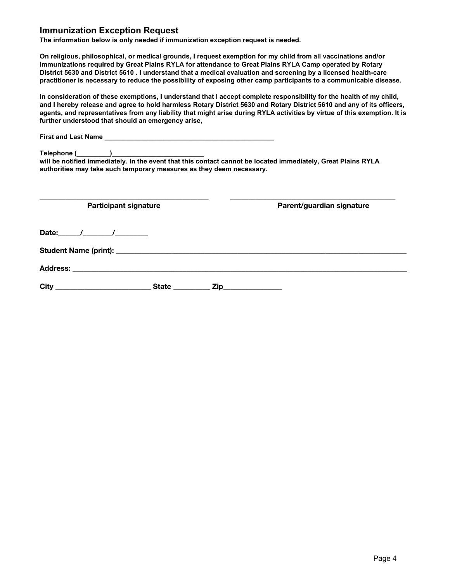#### **Immunization Exception Request**

**The information below is only needed if immunization exception request is needed.** 

**On religious, philosophical, or medical grounds, I request exemption for my child from all vaccinations and/or immunizations required by Great Plains RYLA for attendance to Great Plains RYLA Camp operated by Rotary District 5630 and District 5610 . I understand that a medical evaluation and screening by a licensed health-care practitioner is necessary to reduce the possibility of exposing other camp participants to a communicable disease.** 

**In consideration of these exemptions, I understand that I accept complete responsibility for the health of my child, and I hereby release and agree to hold harmless Rotary District 5630 and Rotary District 5610 and any of its officers, agents, and representatives from any liability that might arise during RYLA activities by virtue of this exemption. It is further understood that should an emergency arise,** 

| will be notified immediately. In the event that this contact cannot be located immediately, Great Plains RYLA<br>authorities may take such temporary measures as they deem necessary. |                           |
|---------------------------------------------------------------------------------------------------------------------------------------------------------------------------------------|---------------------------|
| <b>Participant signature</b>                                                                                                                                                          | Parent/guardian signature |
| Date: $/$ / /                                                                                                                                                                         |                           |
|                                                                                                                                                                                       |                           |
|                                                                                                                                                                                       |                           |
|                                                                                                                                                                                       | State <u>Zip Zip</u>      |